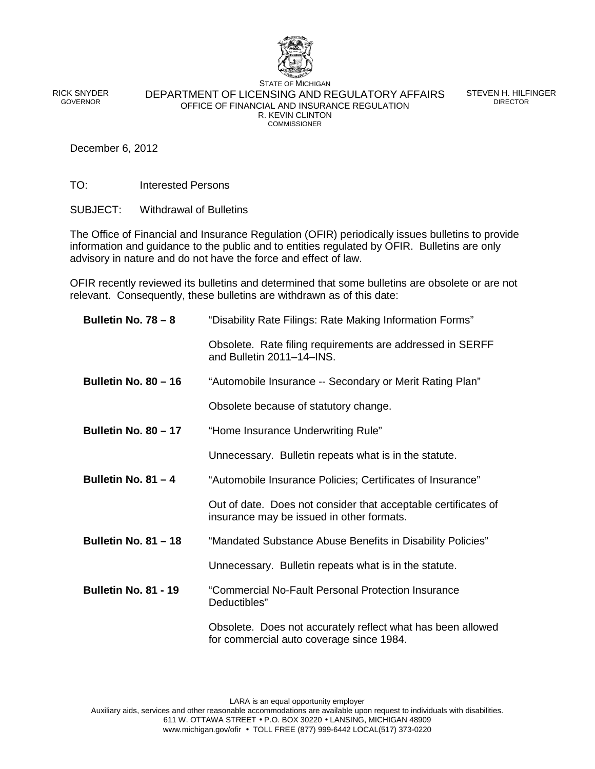

RICK SNYDER GOVERNOR

STATE OF MICHIGAN DEPARTMENT OF LICENSING AND REGULATORY AFFAIRS OFFICE OF FINANCIAL AND INSURANCE REGULATION R. KEVIN CLINTON **COMMISSIONER** 

STEVEN H. HILFINGER DIRECTOR

December 6, 2012

TO: Interested Persons

SUBJECT: Withdrawal of Bulletins

The Office of Financial and Insurance Regulation (OFIR) periodically issues bulletins to provide information and guidance to the public and to entities regulated by OFIR. Bulletins are only advisory in nature and do not have the force and effect of law.

OFIR recently reviewed its bulletins and determined that some bulletins are obsolete or are not relevant. Consequently, these bulletins are withdrawn as of this date:

| Bulletin No. 78 - 8         | "Disability Rate Filings: Rate Making Information Forms"                                                    |
|-----------------------------|-------------------------------------------------------------------------------------------------------------|
|                             | Obsolete. Rate filing requirements are addressed in SERFF<br>and Bulletin 2011-14-INS.                      |
| <b>Bulletin No. 80 - 16</b> | "Automobile Insurance -- Secondary or Merit Rating Plan"                                                    |
|                             | Obsolete because of statutory change.                                                                       |
| <b>Bulletin No. 80 - 17</b> | "Home Insurance Underwriting Rule"                                                                          |
|                             | Unnecessary. Bulletin repeats what is in the statute.                                                       |
| Bulletin No. $81 - 4$       | "Automobile Insurance Policies; Certificates of Insurance"                                                  |
|                             | Out of date. Does not consider that acceptable certificates of<br>insurance may be issued in other formats. |
| <b>Bulletin No. 81 - 18</b> | "Mandated Substance Abuse Benefits in Disability Policies"                                                  |
|                             | Unnecessary. Bulletin repeats what is in the statute.                                                       |
| Bulletin No. 81 - 19        | "Commercial No-Fault Personal Protection Insurance<br>Deductibles"                                          |
|                             | Obsolete. Does not accurately reflect what has been allowed<br>for commercial auto coverage since 1984.     |